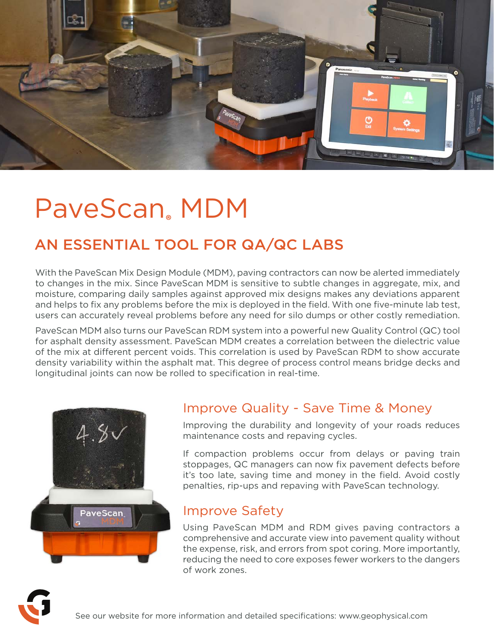

## PaveScan**®** MDM

### AN ESSENTIAL TOOL FOR QA/QC LABS

With the PaveScan Mix Design Module (MDM), paving contractors can now be alerted immediately to changes in the mix. Since PaveScan MDM is sensitive to subtle changes in aggregate, mix, and moisture, comparing daily samples against approved mix designs makes any deviations apparent and helps to fix any problems before the mix is deployed in the field. With one five-minute lab test, users can accurately reveal problems before any need for silo dumps or other costly remediation.

PaveScan MDM also turns our PaveScan RDM system into a powerful new Quality Control (QC) tool for asphalt density assessment. PaveScan MDM creates a correlation between the dielectric value of the mix at different percent voids. This correlation is used by PaveScan RDM to show accurate density variability within the asphalt mat. This degree of process control means bridge decks and longitudinal joints can now be rolled to specification in real-time.



#### Improve Quality - Save Time & Money

Improving the durability and longevity of your roads reduces maintenance costs and repaving cycles.

If compaction problems occur from delays or paving train stoppages, QC managers can now fix pavement defects before it's too late, saving time and money in the field. Avoid costly penalties, rip-ups and repaving with PaveScan technology.

#### Improve Safety

Using PaveScan MDM and RDM gives paving contractors a comprehensive and accurate view into pavement quality without the expense, risk, and errors from spot coring. More importantly, reducing the need to core exposes fewer workers to the dangers of work zones.